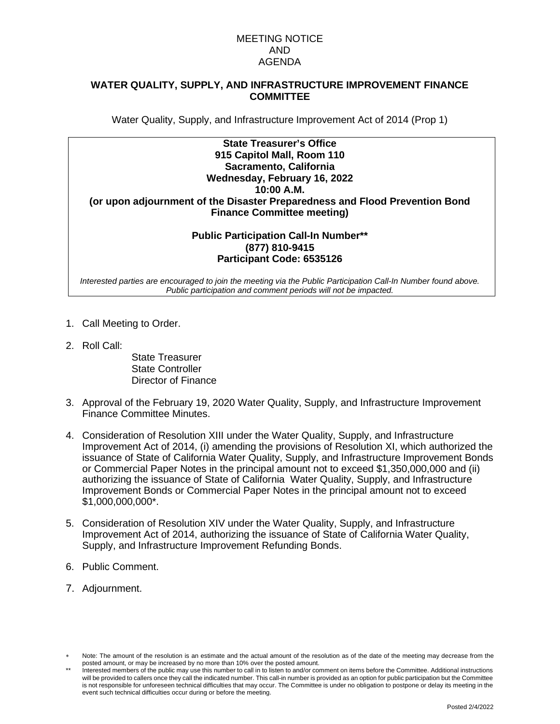## MEETING NOTICE AND AGENDA

## **WATER QUALITY, SUPPLY, AND INFRASTRUCTURE IMPROVEMENT FINANCE COMMITTEE**

Water Quality, Supply, and Infrastructure Improvement Act of 2014 (Prop 1)

| <b>State Treasurer's Office</b>                                             |
|-----------------------------------------------------------------------------|
| 915 Capitol Mall, Room 110                                                  |
| Sacramento, California                                                      |
| Wednesday, February 16, 2022                                                |
| 10:00 A.M.                                                                  |
| (or upon adjournment of the Disaster Preparedness and Flood Prevention Bond |
| <b>Finance Committee meeting)</b>                                           |
|                                                                             |
| <b>Public Participation Call-In Number**</b>                                |

#### **Public Participation Call-In Number\*\* (877) 810-9415 Participant Code: 6535126**

*Interested parties are encouraged to join the meeting via the Public Participation Call-In Number found above. Public participation and comment periods will not be impacted.*

- 1. Call Meeting to Order.
- 2. Roll Call:

State Treasurer State Controller Director of Finance

- 3. Approval of the February 19, 2020 Water Quality, Supply, and Infrastructure Improvement Finance Committee Minutes.
- 4. Consideration of Resolution XIII under the Water Quality, Supply, and Infrastructure Improvement Act of 2014, (i) amending the provisions of Resolution XI, which authorized the issuance of State of California Water Quality, Supply, and Infrastructure Improvement Bonds or Commercial Paper Notes in the principal amount not to exceed \$1,350,000,000 and (ii) authorizing the issuance of State of California Water Quality, Supply, and Infrastructure Improvement Bonds or Commercial Paper Notes in the principal amount not to exceed \$1,000,000,000\*.
- 5. Consideration of Resolution XIV under the Water Quality, Supply, and Infrastructure Improvement Act of 2014, authorizing the issuance of State of California Water Quality, Supply, and Infrastructure Improvement Refunding Bonds.
- 6. Public Comment.
- 7. Adjournment.

Note: The amount of the resolution is an estimate and the actual amount of the resolution as of the date of the meeting may decrease from the posted amount, or may be increased by no more than 10% over the posted amount.

Interested members of the public may use this number to call in to listen to and/or comment on items before the Committee. Additional instructions will be provided to callers once they call the indicated number. This call-in number is provided as an option for public participation but the Committee is not responsible for unforeseen technical difficulties that may occur. The Committee is under no obligation to postpone or delay its meeting in the event such technical difficulties occur during or before the meeting.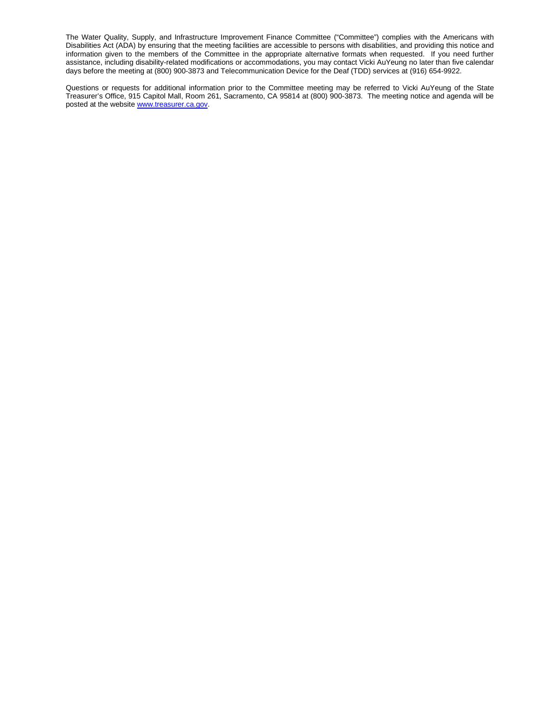The Water Quality, Supply, and Infrastructure Improvement Finance Committee ("Committee") complies with the Americans with Disabilities Act (ADA) by ensuring that the meeting facilities are accessible to persons with disabilities, and providing this notice and information given to the members of the Committee in the appropriate alternative formats when requested. If you need further assistance, including disability-related modifications or accommodations, you may contact Vicki AuYeung no later than five calendar days before the meeting at (800) 900-3873 and Telecommunication Device for the Deaf (TDD) services at (916) 654-9922.

Questions or requests for additional information prior to the Committee meeting may be referred to Vicki AuYeung of the State Treasurer's Office, 915 Capitol Mall, Room 261, Sacramento, CA 95814 at (800) 900-3873. The meeting notice and agenda will be posted at the website [www.treasurer.ca.gov.](http://www.treasurer.ca.gov/)